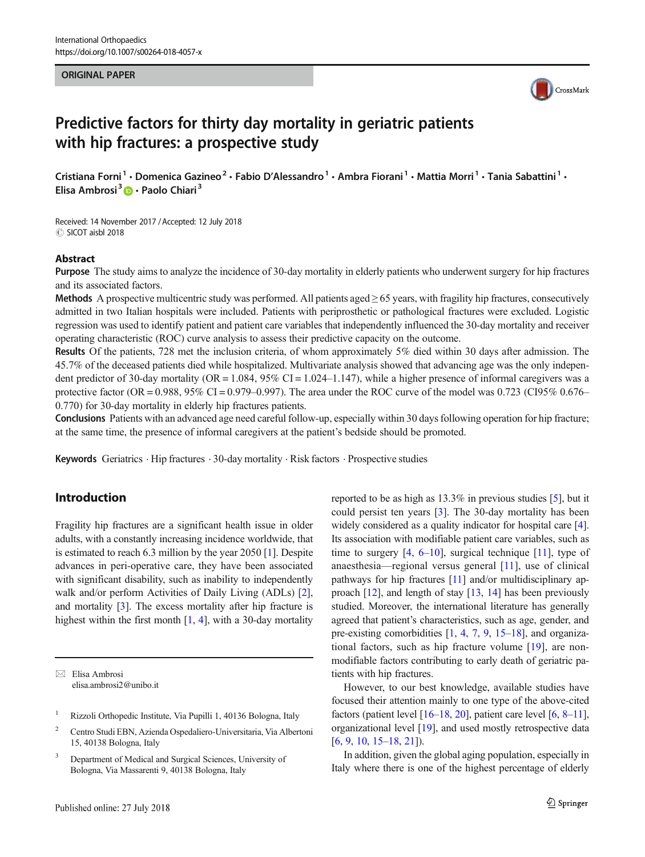#### ORIGINAL PAPER



# Predictive factors for thirty day mortality in geriatric patients with hip fractures: a prospective study

Cristiana Forni<sup>1</sup> · Domenica Gazineo<sup>2</sup> · Fabio D'Alessandro<sup>1</sup> · Ambra Fiorani<sup>1</sup> · Mattia Morri<sup>1</sup> · Tania Sabattini<sup>1</sup> · Elisa Ambrosi<sup>3</sup>  $\bullet$  · Paolo Chiari<sup>3</sup>

Received: 14 November 2017 /Accepted: 12 July 2018 C SICOT aisbl 2018

#### Abstract

Purpose The study aims to analyze the incidence of 30-day mortality in elderly patients who underwent surgery for hip fractures and its associated factors.

Methods A prospective multicentric study was performed. All patients aged  $\geq$  65 years, with fragility hip fractures, consecutively admitted in two Italian hospitals were included. Patients with periprosthetic or pathological fractures were excluded. Logistic regression was used to identify patient and patient care variables that independently influenced the 30-day mortality and receiver operating characteristic (ROC) curve analysis to assess their predictive capacity on the outcome.

Results Of the patients, 728 met the inclusion criteria, of whom approximately 5% died within 30 days after admission. The 45.7% of the deceased patients died while hospitalized. Multivariate analysis showed that advancing age was the only independent predictor of 30-day mortality (OR = 1.084, 95% CI = 1.024–1.147), while a higher presence of informal caregivers was a protective factor (OR =  $0.988$ ,  $95\%$  CI =  $0.979$ – $0.997$ ). The area under the ROC curve of the model was 0.723 (CI95% 0.676– 0.770) for 30-day mortality in elderly hip fractures patients.

Conclusions Patients with an advanced age need careful follow-up, especially within 30 days following operation for hip fracture; at the same time, the presence of informal caregivers at the patient's bedside should be promoted.

**Keywords** Geriatrics  $\cdot$  Hip fractures  $\cdot$  30-day mortality  $\cdot$  Risk factors  $\cdot$  Prospective studies

# Introduction

Fragility hip fractures are a significant health issue in older adults, with a constantly increasing incidence worldwide, that is estimated to reach 6.3 million by the year 2050 [[1\]](#page-5-0). Despite advances in peri-operative care, they have been associated with significant disability, such as inability to independently walk and/or perform Activities of Daily Living (ADLs) [[2\]](#page-5-0), and mortality [\[3\]](#page-5-0). The excess mortality after hip fracture is highest within the first month  $[1, 4]$  $[1, 4]$  $[1, 4]$  $[1, 4]$ , with a 30-day mortality

 $\boxtimes$  Elisa Ambrosi [elisa.ambrosi2@unibo.it](mailto:elisa.ambrosi2@unibo.it)

- <sup>1</sup> Rizzoli Orthopedic Institute, Via Pupilli 1, 40136 Bologna, Italy
- <sup>2</sup> Centro Studi EBN, Azienda Ospedaliero-Universitaria, Via Albertoni 15, 40138 Bologna, Italy
- <sup>3</sup> Department of Medical and Surgical Sciences, University of Bologna, Via Massarenti 9, 40138 Bologna, Italy

reported to be as high as 13.3% in previous studies [[5\]](#page-5-0), but it could persist ten years [\[3](#page-5-0)]. The 30-day mortality has been widely considered as a quality indicator for hospital care [[4\]](#page-5-0). Its association with modifiable patient care variables, such as time to surgery  $[4, 6-10]$  $[4, 6-10]$  $[4, 6-10]$  $[4, 6-10]$  $[4, 6-10]$  $[4, 6-10]$ , surgical technique  $[11]$ , type of anaesthesia—regional versus general [[11](#page-5-0)], use of clinical pathways for hip fractures [[11](#page-5-0)] and/or multidisciplinary approach [[12](#page-5-0)], and length of stay [[13](#page-5-0), [14\]](#page-5-0) has been previously studied. Moreover, the international literature has generally agreed that patient's characteristics, such as age, gender, and pre-existing comorbidities [[1,](#page-5-0) [4](#page-5-0), [7,](#page-5-0) [9,](#page-5-0) [15](#page-5-0)–[18\]](#page-6-0), and organizational factors, such as hip fracture volume [[19](#page-6-0)], are nonmodifiable factors contributing to early death of geriatric patients with hip fractures.

However, to our best knowledge, available studies have focused their attention mainly to one type of the above-cited factors (patient level [[16](#page-6-0)–[18](#page-6-0), [20](#page-6-0)], patient care level [[6](#page-5-0), [8](#page-5-0)–[11\]](#page-5-0), organizational level [\[19\]](#page-6-0), and used mostly retrospective data [\[6](#page-5-0), [9](#page-5-0), [10](#page-5-0), [15](#page-5-0)–[18,](#page-6-0) [21](#page-6-0)]).

In addition, given the global aging population, especially in Italy where there is one of the highest percentage of elderly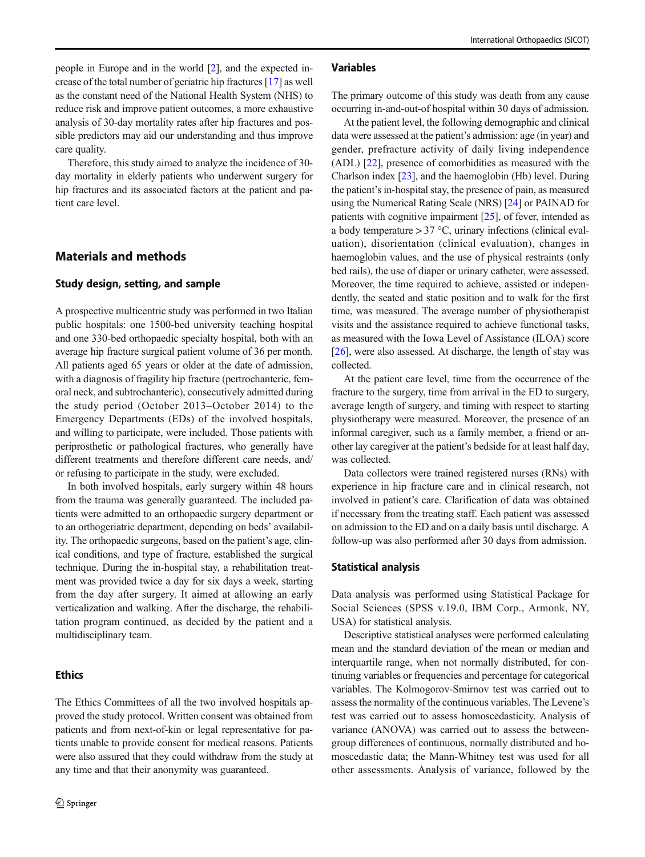people in Europe and in the world [[2](#page-5-0)], and the expected increase of the total number of geriatric hip fractures [[17](#page-6-0)] as well as the constant need of the National Health System (NHS) to reduce risk and improve patient outcomes, a more exhaustive analysis of 30-day mortality rates after hip fractures and possible predictors may aid our understanding and thus improve care quality.

Therefore, this study aimed to analyze the incidence of 30 day mortality in elderly patients who underwent surgery for hip fractures and its associated factors at the patient and patient care level.

## Materials and methods

## Study design, setting, and sample

A prospective multicentric study was performed in two Italian public hospitals: one 1500-bed university teaching hospital and one 330-bed orthopaedic specialty hospital, both with an average hip fracture surgical patient volume of 36 per month. All patients aged 65 years or older at the date of admission, with a diagnosis of fragility hip fracture (pertrochanteric, femoral neck, and subtrochanteric), consecutively admitted during the study period (October 2013–October 2014) to the Emergency Departments (EDs) of the involved hospitals, and willing to participate, were included. Those patients with periprosthetic or pathological fractures, who generally have different treatments and therefore different care needs, and/ or refusing to participate in the study, were excluded.

In both involved hospitals, early surgery within 48 hours from the trauma was generally guaranteed. The included patients were admitted to an orthopaedic surgery department or to an orthogeriatric department, depending on beds' availability. The orthopaedic surgeons, based on the patient's age, clinical conditions, and type of fracture, established the surgical technique. During the in-hospital stay, a rehabilitation treatment was provided twice a day for six days a week, starting from the day after surgery. It aimed at allowing an early verticalization and walking. After the discharge, the rehabilitation program continued, as decided by the patient and a multidisciplinary team.

## Ethics

The Ethics Committees of all the two involved hospitals approved the study protocol. Written consent was obtained from patients and from next-of-kin or legal representative for patients unable to provide consent for medical reasons. Patients were also assured that they could withdraw from the study at any time and that their anonymity was guaranteed.

#### Variables

The primary outcome of this study was death from any cause occurring in-and-out-of hospital within 30 days of admission.

At the patient level, the following demographic and clinical data were assessed at the patient's admission: age (in year) and gender, prefracture activity of daily living independence (ADL) [[22](#page-6-0)], presence of comorbidities as measured with the Charlson index [[23\]](#page-6-0), and the haemoglobin (Hb) level. During the patient's in-hospital stay, the presence of pain, as measured using the Numerical Rating Scale (NRS) [\[24\]](#page-6-0) or PAINAD for patients with cognitive impairment [\[25](#page-6-0)], of fever, intended as a body temperature  $> 37 \text{ °C}$ , urinary infections (clinical evaluation), disorientation (clinical evaluation), changes in haemoglobin values, and the use of physical restraints (only bed rails), the use of diaper or urinary catheter, were assessed. Moreover, the time required to achieve, assisted or independently, the seated and static position and to walk for the first time, was measured. The average number of physiotherapist visits and the assistance required to achieve functional tasks, as measured with the Iowa Level of Assistance (ILOA) score [\[26](#page-6-0)], were also assessed. At discharge, the length of stay was collected.

At the patient care level, time from the occurrence of the fracture to the surgery, time from arrival in the ED to surgery, average length of surgery, and timing with respect to starting physiotherapy were measured. Moreover, the presence of an informal caregiver, such as a family member, a friend or another lay caregiver at the patient's bedside for at least half day, was collected.

Data collectors were trained registered nurses (RNs) with experience in hip fracture care and in clinical research, not involved in patient's care. Clarification of data was obtained if necessary from the treating staff. Each patient was assessed on admission to the ED and on a daily basis until discharge. A follow-up was also performed after 30 days from admission.

#### Statistical analysis

Data analysis was performed using Statistical Package for Social Sciences (SPSS v.19.0, IBM Corp., Armonk, NY, USA) for statistical analysis.

Descriptive statistical analyses were performed calculating mean and the standard deviation of the mean or median and interquartile range, when not normally distributed, for continuing variables or frequencies and percentage for categorical variables. The Kolmogorov-Smirnov test was carried out to assess the normality of the continuous variables. The Levene's test was carried out to assess homoscedasticity. Analysis of variance (ANOVA) was carried out to assess the betweengroup differences of continuous, normally distributed and homoscedastic data; the Mann-Whitney test was used for all other assessments. Analysis of variance, followed by the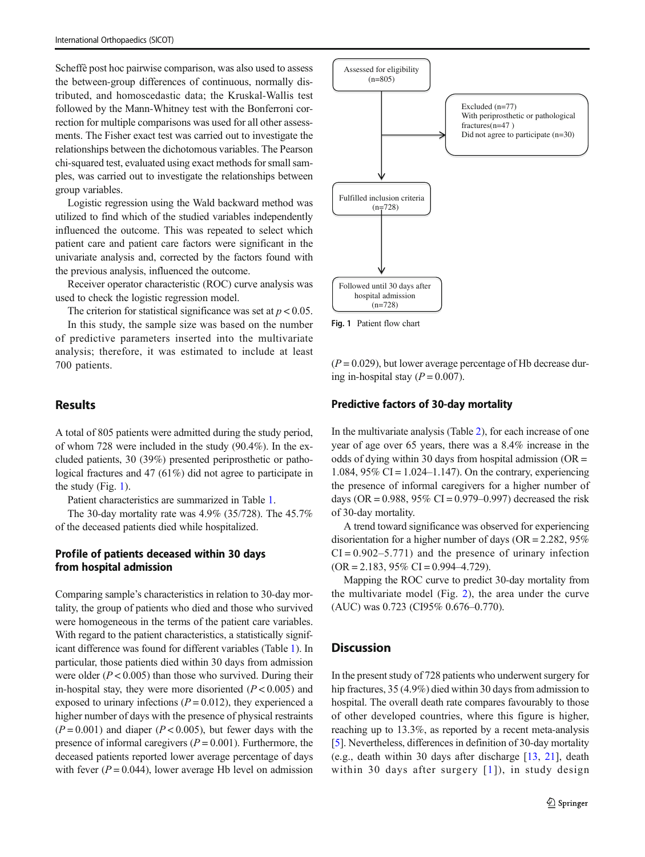Scheffè post hoc pairwise comparison, was also used to assess the between-group differences of continuous, normally distributed, and homoscedastic data; the Kruskal-Wallis test followed by the Mann-Whitney test with the Bonferroni correction for multiple comparisons was used for all other assessments. The Fisher exact test was carried out to investigate the relationships between the dichotomous variables. The Pearson chi-squared test, evaluated using exact methods for small samples, was carried out to investigate the relationships between group variables.

Logistic regression using the Wald backward method was utilized to find which of the studied variables independently influenced the outcome. This was repeated to select which patient care and patient care factors were significant in the univariate analysis and, corrected by the factors found with the previous analysis, influenced the outcome.

Receiver operator characteristic (ROC) curve analysis was used to check the logistic regression model.

The criterion for statistical significance was set at  $p < 0.05$ . In this study, the sample size was based on the number of predictive parameters inserted into the multivariate analysis; therefore, it was estimated to include at least 700 patients.

## Results

A total of 805 patients were admitted during the study period, of whom 728 were included in the study (90.4%). In the excluded patients, 30 (39%) presented periprosthetic or pathological fractures and 47 (61%) did not agree to participate in the study (Fig. 1).

Patient characteristics are summarized in Table [1](#page-3-0).

The 30-day mortality rate was 4.9% (35/728). The 45.7% of the deceased patients died while hospitalized.

## Profile of patients deceased within 30 days from hospital admission

Comparing sample's characteristics in relation to 30-day mortality, the group of patients who died and those who survived were homogeneous in the terms of the patient care variables. With regard to the patient characteristics, a statistically significant difference was found for different variables (Table [1](#page-3-0)). In particular, those patients died within 30 days from admission were older ( $P < 0.005$ ) than those who survived. During their in-hospital stay, they were more disoriented  $(P < 0.005)$  and exposed to urinary infections ( $P = 0.012$ ), they experienced a higher number of days with the presence of physical restraints  $(P = 0.001)$  and diaper  $(P < 0.005)$ , but fewer days with the presence of informal caregivers ( $P = 0.001$ ). Furthermore, the deceased patients reported lower average percentage of days with fever  $(P = 0.044)$ , lower average Hb level on admission



Fig. 1 Patient flow chart

 $(P = 0.029)$ , but lower average percentage of Hb decrease during in-hospital stay  $(P = 0.007)$ .

#### Predictive factors of 30-day mortality

In the multivariate analysis (Table [2](#page-4-0)), for each increase of one year of age over 65 years, there was a 8.4% increase in the odds of dying within 30 days from hospital admission ( $OR =$ 1.084, 95% CI =  $1.024 - 1.147$ ). On the contrary, experiencing the presence of informal caregivers for a higher number of days (OR =  $0.988$ ,  $95\%$  CI =  $0.979-0.997$ ) decreased the risk of 30-day mortality.

A trend toward significance was observed for experiencing disorientation for a higher number of days ( $OR = 2.282$ , 95%)  $CI = 0.902 - 5.771$  and the presence of urinary infection  $(OR = 2.183, 95\% CI = 0.994 - 4.729).$ 

Mapping the ROC curve to predict 30-day mortality from the multivariate model (Fig. [2](#page-4-0)), the area under the curve (AUC) was 0.723 (CI95% 0.676–0.770).

## **Discussion**

In the present study of 728 patients who underwent surgery for hip fractures, 35 (4.9%) died within 30 days from admission to hospital. The overall death rate compares favourably to those of other developed countries, where this figure is higher, reaching up to 13.3%, as reported by a recent meta-analysis [\[5](#page-5-0)]. Nevertheless, differences in definition of 30-day mortality (e.g., death within 30 days after discharge [[13,](#page-5-0) [21](#page-6-0)], death within 30 days after surgery  $[1]$  $[1]$  $[1]$ ), in study design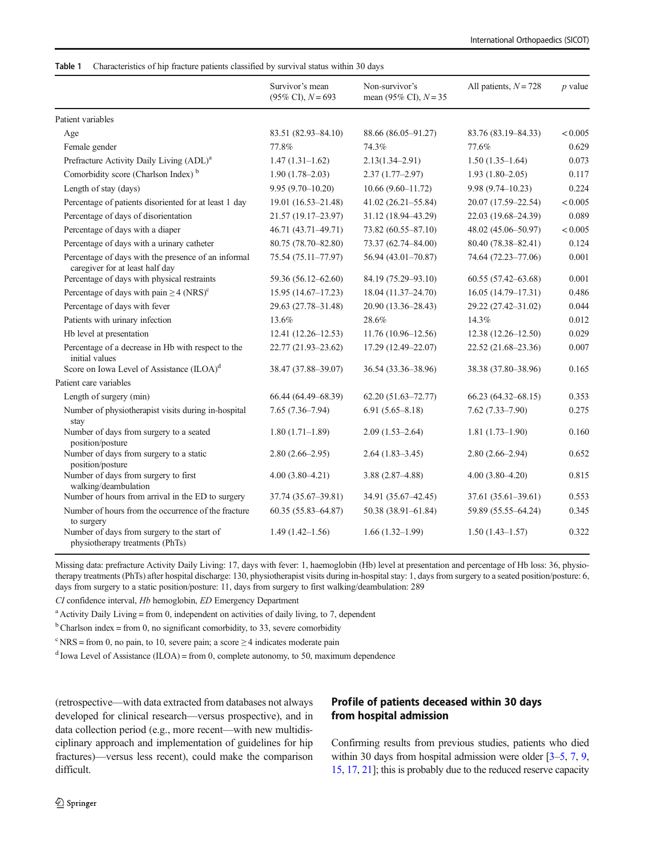#### <span id="page-3-0"></span>Table 1 Characteristics of hip fracture patients classified by survival status within 30 days

|                                                                                        | Survivor's mean<br>$(95\% \text{ CI}), N = 693$ | Non-survivor's<br>mean (95% CI), $N = 35$ | All patients, $N = 728$ | $p$ value |
|----------------------------------------------------------------------------------------|-------------------------------------------------|-------------------------------------------|-------------------------|-----------|
| Patient variables                                                                      |                                                 |                                           |                         |           |
| Age                                                                                    | 83.51 (82.93-84.10)                             | 88.66 (86.05-91.27)                       | 83.76 (83.19 - 84.33)   | < 0.005   |
| Female gender                                                                          | 77.8%                                           | 74.3%                                     | 77.6%                   | 0.629     |
| Prefracture Activity Daily Living (ADL) <sup>a</sup>                                   | $1.47(1.31-1.62)$                               | $2.13(1.34 - 2.91)$                       | $1.50(1.35-1.64)$       | 0.073     |
| Comorbidity score (Charlson Index) <sup>b</sup>                                        | $1.90(1.78 - 2.03)$                             | $2.37(1.77-2.97)$                         | $1.93(1.80-2.05)$       | 0.117     |
| Length of stay (days)                                                                  | $9.95(9.70 - 10.20)$                            | $10.66(9.60 - 11.72)$                     | $9.98(9.74 - 10.23)$    | 0.224     |
| Percentage of patients disoriented for at least 1 day                                  | 19.01 (16.53-21.48)                             | $41.02(26.21 - 55.84)$                    | 20.07 (17.59-22.54)     | < 0.005   |
| Percentage of days of disorientation                                                   | 21.57 (19.17-23.97)                             | 31.12 (18.94-43.29)                       | 22.03 (19.68-24.39)     | 0.089     |
| Percentage of days with a diaper                                                       | 46.71 (43.71-49.71)                             | 73.82 (60.55-87.10)                       | 48.02 (45.06-50.97)     | < 0.005   |
| Percentage of days with a urinary catheter                                             | 80.75 (78.70-82.80)                             | 73.37 (62.74-84.00)                       | 80.40 (78.38-82.41)     | 0.124     |
| Percentage of days with the presence of an informal<br>caregiver for at least half day | 75.54 (75.11-77.97)                             | 56.94 (43.01-70.87)                       | 74.64 (72.23-77.06)     | 0.001     |
| Percentage of days with physical restraints                                            | 59.36 (56.12–62.60)                             | 84.19 (75.29-93.10)                       | $60.55(57.42 - 63.68)$  | 0.001     |
| Percentage of days with pain $\geq$ 4 (NRS) <sup>c</sup>                               | 15.95 (14.67-17.23)                             | 18.04 (11.37-24.70)                       | 16.05 (14.79-17.31)     | 0.486     |
| Percentage of days with fever                                                          | 29.63 (27.78-31.48)                             | 20.90 (13.36-28.43)                       | 29.22 (27.42-31.02)     | 0.044     |
| Patients with urinary infection                                                        | 13.6%                                           | 28.6%                                     | 14.3%                   | 0.012     |
| Hb level at presentation                                                               | 12.41 (12.26-12.53)                             | 11.76 (10.96-12.56)                       | 12.38 (12.26-12.50)     | 0.029     |
| Percentage of a decrease in Hb with respect to the<br>initial values                   | 22.77 (21.93-23.62)                             | 17.29 (12.49-22.07)                       | 22.52 (21.68-23.36)     | 0.007     |
| Score on Iowa Level of Assistance (ILOA) <sup>d</sup>                                  | 38.47 (37.88-39.07)                             | 36.54 (33.36–38.96)                       | 38.38 (37.80-38.96)     | 0.165     |
| Patient care variables                                                                 |                                                 |                                           |                         |           |
| Length of surgery (min)                                                                | 66.44 (64.49 - 68.39)                           | $62.20(51.63 - 72.77)$                    | $66.23(64.32 - 68.15)$  | 0.353     |
| Number of physiotherapist visits during in-hospital<br>stay                            | $7.65(7.36 - 7.94)$                             | $6.91(5.65 - 8.18)$                       | $7.62(7.33 - 7.90)$     | 0.275     |
| Number of days from surgery to a seated<br>position/posture                            | $1.80(1.71-1.89)$                               | $2.09(1.53 - 2.64)$                       | $1.81(1.73 - 1.90)$     | 0.160     |
| Number of days from surgery to a static<br>position/posture                            | $2.80(2.66-2.95)$                               | $2.64(1.83 - 3.45)$                       | $2.80(2.66-2.94)$       | 0.652     |
| Number of days from surgery to first<br>walking/deambulation                           | $4.00(3.80 - 4.21)$                             | $3.88(2.87 - 4.88)$                       | $4.00(3.80 - 4.20)$     | 0.815     |
| Number of hours from arrival in the ED to surgery                                      | 37.74 (35.67-39.81)                             | 34.91 (35.67-42.45)                       | 37.61 (35.61-39.61)     | 0.553     |
| Number of hours from the occurrence of the fracture<br>to surgery                      | 60.35 (55.83-64.87)                             | 50.38 (38.91-61.84)                       | 59.89 (55.55-64.24)     | 0.345     |
| Number of days from surgery to the start of<br>physiotherapy treatments (PhTs)         | $1.49(1.42 - 1.56)$                             | $1.66(1.32-1.99)$                         | $1.50(1.43 - 1.57)$     | 0.322     |

Missing data: prefracture Activity Daily Living: 17, days with fever: 1, haemoglobin (Hb) level at presentation and percentage of Hb loss: 36, physiotherapy treatments (PhTs) after hospital discharge: 130, physiotherapist visits during in-hospital stay: 1, days from surgery to a seated position/posture: 6, days from surgery to a static position/posture: 11, days from surgery to first walking/deambulation: 289

CI confidence interval, Hb hemoglobin, ED Emergency Department

<sup>a</sup> Activity Daily Living = from 0, independent on activities of daily living, to 7, dependent

 $<sup>b</sup>$  Charlson index = from 0, no significant comorbidity, to 33, severe comorbidity</sup>

<sup>c</sup> NRS = from 0, no pain, to 10, severe pain; a score  $\geq$  4 indicates moderate pain

 $d$  Iowa Level of Assistance (ILOA) = from 0, complete autonomy, to 50, maximum dependence

(retrospective—with data extracted from databases not always developed for clinical research—versus prospective), and in data collection period (e.g., more recent—with new multidisciplinary approach and implementation of guidelines for hip fractures)—versus less recent), could make the comparison difficult.

# Profile of patients deceased within 30 days from hospital admission

Confirming results from previous studies, patients who died within 30 days from hospital admission were older [\[3](#page-5-0)–[5,](#page-5-0) [7,](#page-5-0) [9,](#page-5-0) [15,](#page-5-0) [17,](#page-6-0) [21](#page-6-0)]; this is probably due to the reduced reserve capacity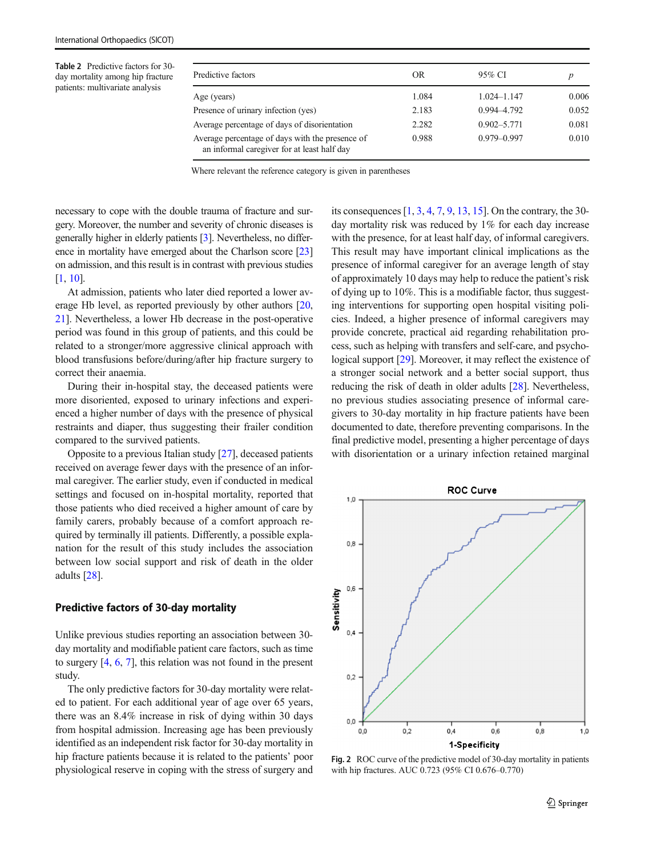<span id="page-4-0"></span>Table 2 Predictive factors for 30 day mortality among hip fracture patients: multivariate analysis

| Predictive factors                                                                             | OR    | 95% CI          |       |
|------------------------------------------------------------------------------------------------|-------|-----------------|-------|
| Age (years)                                                                                    | 1.084 | $1.024 - 1.147$ | 0.006 |
| Presence of urinary infection (yes)                                                            | 2.183 | 0.994-4.792     | 0.052 |
| Average percentage of days of disorientation                                                   | 2.282 | $0.902 - 5.771$ | 0.081 |
| Average percentage of days with the presence of<br>an informal caregiver for at least half day | 0.988 | $0.979 - 0.997$ | 0.010 |

Where relevant the reference category is given in parentheses

necessary to cope with the double trauma of fracture and surgery. Moreover, the number and severity of chronic diseases is generally higher in elderly patients [[3](#page-5-0)]. Nevertheless, no difference in mortality have emerged about the Charlson score [\[23\]](#page-6-0) on admission, and this result is in contrast with previous studies [\[1,](#page-5-0) [10](#page-5-0)].

At admission, patients who later died reported a lower average Hb level, as reported previously by other authors [[20,](#page-6-0) [21\]](#page-6-0). Nevertheless, a lower Hb decrease in the post-operative period was found in this group of patients, and this could be related to a stronger/more aggressive clinical approach with blood transfusions before/during/after hip fracture surgery to correct their anaemia.

During their in-hospital stay, the deceased patients were more disoriented, exposed to urinary infections and experienced a higher number of days with the presence of physical restraints and diaper, thus suggesting their frailer condition compared to the survived patients.

Opposite to a previous Italian study [\[27](#page-6-0)], deceased patients received on average fewer days with the presence of an informal caregiver. The earlier study, even if conducted in medical settings and focused on in-hospital mortality, reported that those patients who died received a higher amount of care by family carers, probably because of a comfort approach required by terminally ill patients. Differently, a possible explanation for the result of this study includes the association between low social support and risk of death in the older adults [[28\]](#page-6-0).

### Predictive factors of 30-day mortality

Unlike previous studies reporting an association between 30 day mortality and modifiable patient care factors, such as time to surgery [\[4,](#page-5-0) [6,](#page-5-0) [7](#page-5-0)], this relation was not found in the present study.

The only predictive factors for 30-day mortality were related to patient. For each additional year of age over 65 years, there was an 8.4% increase in risk of dying within 30 days from hospital admission. Increasing age has been previously identified as an independent risk factor for 30-day mortality in hip fracture patients because it is related to the patients' poor physiological reserve in coping with the stress of surgery and its consequences [[1](#page-5-0), [3,](#page-5-0) [4](#page-5-0), [7](#page-5-0), [9,](#page-5-0) [13,](#page-5-0) [15](#page-5-0)]. On the contrary, the 30 day mortality risk was reduced by 1% for each day increase with the presence, for at least half day, of informal caregivers. This result may have important clinical implications as the presence of informal caregiver for an average length of stay of approximately 10 days may help to reduce the patient's risk of dying up to 10%. This is a modifiable factor, thus suggesting interventions for supporting open hospital visiting policies. Indeed, a higher presence of informal caregivers may provide concrete, practical aid regarding rehabilitation process, such as helping with transfers and self-care, and psychological support [\[29](#page-6-0)]. Moreover, it may reflect the existence of a stronger social network and a better social support, thus reducing the risk of death in older adults [[28](#page-6-0)]. Nevertheless, no previous studies associating presence of informal caregivers to 30-day mortality in hip fracture patients have been documented to date, therefore preventing comparisons. In the final predictive model, presenting a higher percentage of days with disorientation or a urinary infection retained marginal



Fig. 2 ROC curve of the predictive model of 30-day mortality in patients with hip fractures. AUC 0.723 (95% CI 0.676–0.770)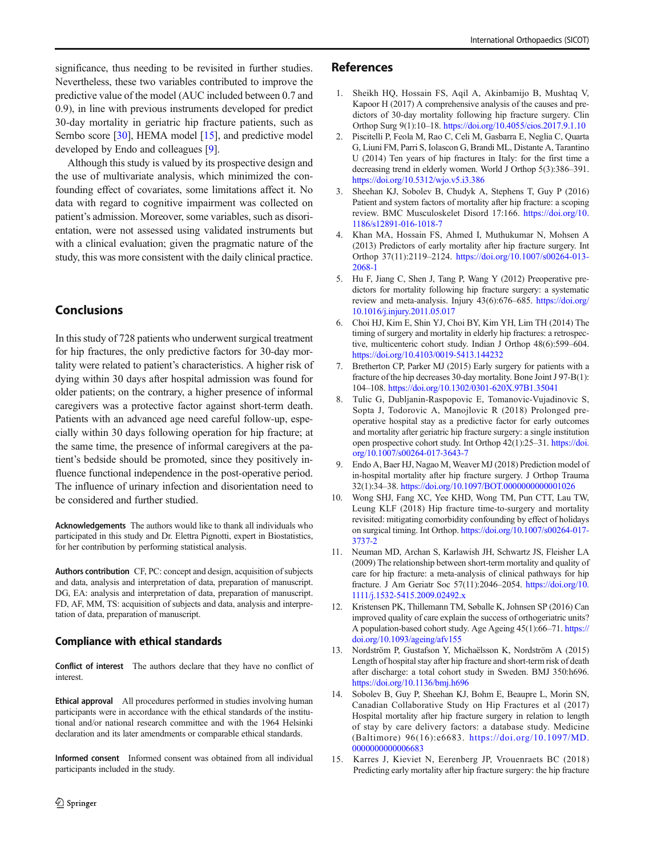<span id="page-5-0"></span>significance, thus needing to be revisited in further studies. Nevertheless, these two variables contributed to improve the predictive value of the model (AUC included between 0.7 and 0.9), in line with previous instruments developed for predict 30-day mortality in geriatric hip fracture patients, such as Sernbo score [[30\]](#page-6-0), HEMA model [15], and predictive model developed by Endo and colleagues [9].

Although this study is valued by its prospective design and the use of multivariate analysis, which minimized the confounding effect of covariates, some limitations affect it. No data with regard to cognitive impairment was collected on patient's admission. Moreover, some variables, such as disorientation, were not assessed using validated instruments but with a clinical evaluation; given the pragmatic nature of the study, this was more consistent with the daily clinical practice.

# Conclusions

In this study of 728 patients who underwent surgical treatment for hip fractures, the only predictive factors for 30-day mortality were related to patient's characteristics. A higher risk of dying within 30 days after hospital admission was found for older patients; on the contrary, a higher presence of informal caregivers was a protective factor against short-term death. Patients with an advanced age need careful follow-up, especially within 30 days following operation for hip fracture; at the same time, the presence of informal caregivers at the patient's bedside should be promoted, since they positively influence functional independence in the post-operative period. The influence of urinary infection and disorientation need to be considered and further studied.

Acknowledgements The authors would like to thank all individuals who participated in this study and Dr. Elettra Pignotti, expert in Biostatistics, for her contribution by performing statistical analysis.

Authors contribution CF, PC: concept and design, acquisition of subjects and data, analysis and interpretation of data, preparation of manuscript. DG, EA: analysis and interpretation of data, preparation of manuscript. FD, AF, MM, TS: acquisition of subjects and data, analysis and interpretation of data, preparation of manuscript.

# Compliance with ethical standards

Conflict of interest The authors declare that they have no conflict of interest.

Ethical approval All procedures performed in studies involving human participants were in accordance with the ethical standards of the institutional and/or national research committee and with the 1964 Helsinki declaration and its later amendments or comparable ethical standards.

Informed consent Informed consent was obtained from all individual participants included in the study.

## References

- 1. Sheikh HQ, Hossain FS, Aqil A, Akinbamijo B, Mushtaq V, Kapoor H (2017) A comprehensive analysis of the causes and predictors of 30-day mortality following hip fracture surgery. Clin Orthop Surg 9(1):10–18. <https://doi.org/10.4055/cios.2017.9.1.10>
- 2. Piscitelli P, Feola M, Rao C, Celi M, Gasbarra E, Neglia C, Quarta G, Liuni FM, Parri S, Iolascon G, Brandi ML, Distante A, Tarantino U (2014) Ten years of hip fractures in Italy: for the first time a decreasing trend in elderly women. World J Orthop 5(3):386–391. <https://doi.org/10.5312/wjo.v5.i3.386>
- 3. Sheehan KJ, Sobolev B, Chudyk A, Stephens T, Guy P (2016) Patient and system factors of mortality after hip fracture: a scoping review. BMC Musculoskelet Disord 17:166. [https://doi.org/10.](https://doi.org/10.1186/s12891-016-1018-7) [1186/s12891-016-1018-7](https://doi.org/10.1186/s12891-016-1018-7)
- 4. Khan MA, Hossain FS, Ahmed I, Muthukumar N, Mohsen A (2013) Predictors of early mortality after hip fracture surgery. Int Orthop 37(11):2119–2124. [https://doi.org/10.1007/s00264-013-](https://doi.org/10.1007/s00264-013-2068-1) [2068-1](https://doi.org/10.1007/s00264-013-2068-1)
- 5. Hu F, Jiang C, Shen J, Tang P, Wang Y (2012) Preoperative predictors for mortality following hip fracture surgery: a systematic review and meta-analysis. Injury 43(6):676–685. [https://doi.org/](https://doi.org/10.1016/j.injury.2011.05.017) [10.1016/j.injury.2011.05.017](https://doi.org/10.1016/j.injury.2011.05.017)
- 6. Choi HJ, Kim E, Shin YJ, Choi BY, Kim YH, Lim TH (2014) The timing of surgery and mortality in elderly hip fractures: a retrospective, multicenteric cohort study. Indian J Orthop 48(6):599–604. <https://doi.org/10.4103/0019-5413.144232>
- 7. Bretherton CP, Parker MJ (2015) Early surgery for patients with a fracture of the hip decreases 30-day mortality. Bone Joint J 97-B(1): 104–108. <https://doi.org/10.1302/0301-620X.97B1.35041>
- 8. Tulic G, Dubljanin-Raspopovic E, Tomanovic-Vujadinovic S, Sopta J, Todorovic A, Manojlovic R (2018) Prolonged preoperative hospital stay as a predictive factor for early outcomes and mortality after geriatric hip fracture surgery: a single institution open prospective cohort study. Int Orthop 42(1):25–31. [https://doi.](https://doi.org/10.1007/s00264-017-3643-7) [org/10.1007/s00264-017-3643-7](https://doi.org/10.1007/s00264-017-3643-7)
- 9. Endo A, Baer HJ, Nagao M, Weaver MJ (2018) Prediction model of in-hospital mortality after hip fracture surgery. J Orthop Trauma 32(1):34–38. <https://doi.org/10.1097/BOT.0000000000001026>
- 10. Wong SHJ, Fang XC, Yee KHD, Wong TM, Pun CTT, Lau TW, Leung KLF (2018) Hip fracture time-to-surgery and mortality revisited: mitigating comorbidity confounding by effect of holidays on surgical timing. Int Orthop. [https://doi.org/10.1007/s00264-017-](https://doi.org/10.1007/s00264-017-3737-2) [3737-2](https://doi.org/10.1007/s00264-017-3737-2)
- 11. Neuman MD, Archan S, Karlawish JH, Schwartz JS, Fleisher LA (2009) The relationship between short-term mortality and quality of care for hip fracture: a meta-analysis of clinical pathways for hip fracture. J Am Geriatr Soc 57(11):2046–2054. [https://doi.org/10.](https://doi.org/10.1111/j.1532-5415.2009.02492.x) [1111/j.1532-5415.2009.02492.x](https://doi.org/10.1111/j.1532-5415.2009.02492.x)
- 12. Kristensen PK, Thillemann TM, Søballe K, Johnsen SP (2016) Can improved quality of care explain the success of orthogeriatric units? A population-based cohort study. Age Ageing 45(1):66–71. [https://](https://doi.org/10.1093/ageing/afv155) [doi.org/10.1093/ageing/afv155](https://doi.org/10.1093/ageing/afv155)
- 13. Nordström P, Gustafson Y, Michaëlsson K, Nordström A (2015) Length of hospital stay after hip fracture and short-term risk of death after discharge: a total cohort study in Sweden. BMJ 350:h696. <https://doi.org/10.1136/bmj.h696>
- 14. Sobolev B, Guy P, Sheehan KJ, Bohm E, Beaupre L, Morin SN, Canadian Collaborative Study on Hip Fractures et al (2017) Hospital mortality after hip fracture surgery in relation to length of stay by care delivery factors: a database study. Medicine (Baltimore) 96(16):e6683. [https://doi.org/10.1097/MD.](https://doi.org/10.1097/MD.0000000000006683) [0000000000006683](https://doi.org/10.1097/MD.0000000000006683)
- 15. Karres J, Kieviet N, Eerenberg JP, Vrouenraets BC (2018) Predicting early mortality after hip fracture surgery: the hip fracture